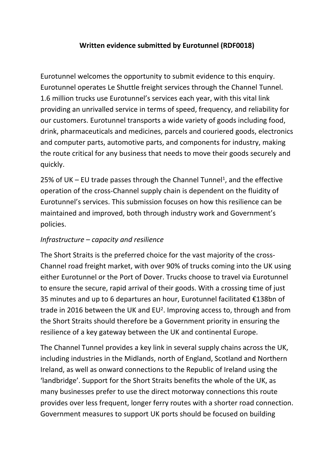# **Written evidence submitted by Eurotunnel (RDF0018)**

Eurotunnel welcomes the opportunity to submit evidence to this enquiry. Eurotunnel operates Le Shuttle freight services through the Channel Tunnel. 1.6 million trucks use Eurotunnel's services each year, with this vital link providing an unrivalled service in terms of speed, frequency, and reliability for our customers. Eurotunnel transports a wide variety of goods including food, drink, pharmaceuticals and medicines, parcels and couriered goods, electronics and computer parts, automotive parts, and components for industry, making the route critical for any business that needs to move their goods securely and quickly.

25% of UK - EU trade passes through the Channel Tunnel<sup>1</sup>, and the effective operation of the cross-Channel supply chain is dependent on the fluidity of Eurotunnel's services. This submission focuses on how this resilience can be maintained and improved, both through industry work and Government's policies.

### *Infrastructure – capacity and resilience*

The Short Straits is the preferred choice for the vast majority of the cross-Channel road freight market, with over 90% of trucks coming into the UK using either Eurotunnel or the Port of Dover. Trucks choose to travel via Eurotunnel to ensure the secure, rapid arrival of their goods. With a crossing time of just 35 minutes and up to 6 departures an hour, Eurotunnel facilitated €138bn of trade in 2016 between the UK and  $EU^2$ . Improving access to, through and from the Short Straits should therefore be a Government priority in ensuring the resilience of a key gateway between the UK and continental Europe.

The Channel Tunnel provides a key link in several supply chains across the UK, including industries in the Midlands, north of England, Scotland and Northern Ireland, as well as onward connections to the Republic of Ireland using the 'landbridge'. Support for the Short Straits benefits the whole of the UK, as many businesses prefer to use the direct motorway connections this route provides over less frequent, longer ferry routes with a shorter road connection. Government measures to support UK ports should be focused on building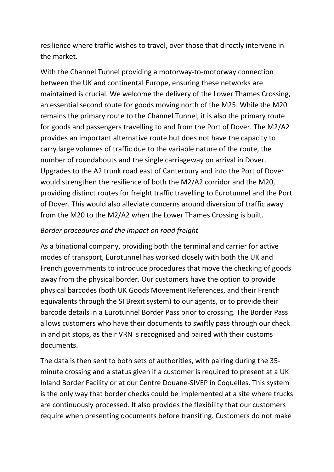resilience where traffic wishes to travel, over those that directly intervene in the market.

With the Channel Tunnel providing a motorway-to-motorway connection between the UK and continental Europe, ensuring these networks are maintained is crucial. We welcome the delivery of the Lower Thames Crossing, an essential second route for goods moving north of the M25. While the M20 remains the primary route to the Channel Tunnel, it is also the primary route for goods and passengers travelling to and from the Port of Dover. The M2/A2 provides an important alternative route but does not have the capacity to carry large volumes of traffic due to the variable nature of the route, the number of roundabouts and the single carriageway on arrival in Dover. Upgrades to the A2 trunk road east of Canterbury and into the Port of Dover would strengthen the resilience of both the M2/A2 corridor and the M20, providing distinct routes for freight traffic travelling to Eurotunnel and the Port of Dover. This would also alleviate concerns around diversion of traffic away from the M20 to the M2/A2 when the Lower Thames Crossing is built.

## *Border procedures and the impact on road freight*

As a binational company, providing both the terminal and carrier for active modes of transport, Eurotunnel has worked closely with both the UK and French governments to introduce procedures that move the checking of goods away from the physical border. Our customers have the option to provide physical barcodes (both UK Goods Movement References, and their French equivalents through the SI Brexit system) to our agents, or to provide their barcode details in a Eurotunnel Border Pass prior to crossing. The Border Pass allows customers who have their documents to swiftly pass through our check in and pit stops, as their VRN is recognised and paired with their customs documents.

The data is then sent to both sets of authorities, with pairing during the 35 minute crossing and a status given if a customer is required to present at a UK Inland Border Facility or at our Centre Douane-SIVEP in Coquelles. This system is the only way that border checks could be implemented at a site where trucks are continuously processed. It also provides the flexibility that our customers require when presenting documents before transiting. Customers do not make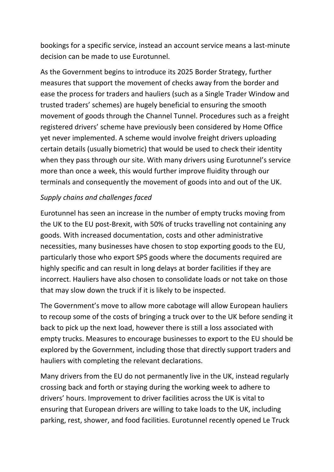bookings for a specific service, instead an account service means a last-minute decision can be made to use Eurotunnel.

As the Government begins to introduce its 2025 Border Strategy, further measures that support the movement of checks away from the border and ease the process for traders and hauliers (such as a Single Trader Window and trusted traders' schemes) are hugely beneficial to ensuring the smooth movement of goods through the Channel Tunnel. Procedures such as a freight registered drivers' scheme have previously been considered by Home Office yet never implemented. A scheme would involve freight drivers uploading certain details (usually biometric) that would be used to check their identity when they pass through our site. With many drivers using Eurotunnel's service more than once a week, this would further improve fluidity through our terminals and consequently the movement of goods into and out of the UK.

# *Supply chains and challenges faced*

Eurotunnel has seen an increase in the number of empty trucks moving from the UK to the EU post-Brexit, with 50% of trucks travelling not containing any goods. With increased documentation, costs and other administrative necessities, many businesses have chosen to stop exporting goods to the EU, particularly those who export SPS goods where the documents required are highly specific and can result in long delays at border facilities if they are incorrect. Hauliers have also chosen to consolidate loads or not take on those that may slow down the truck if it is likely to be inspected.

The Government's move to allow more cabotage will allow European hauliers to recoup some of the costs of bringing a truck over to the UK before sending it back to pick up the next load, however there is still a loss associated with empty trucks. Measures to encourage businesses to export to the EU should be explored by the Government, including those that directly support traders and hauliers with completing the relevant declarations.

Many drivers from the EU do not permanently live in the UK, instead regularly crossing back and forth or staying during the working week to adhere to drivers' hours. Improvement to driver facilities across the UK is vital to ensuring that European drivers are willing to take loads to the UK, including parking, rest, shower, and food facilities. Eurotunnel recently opened Le Truck